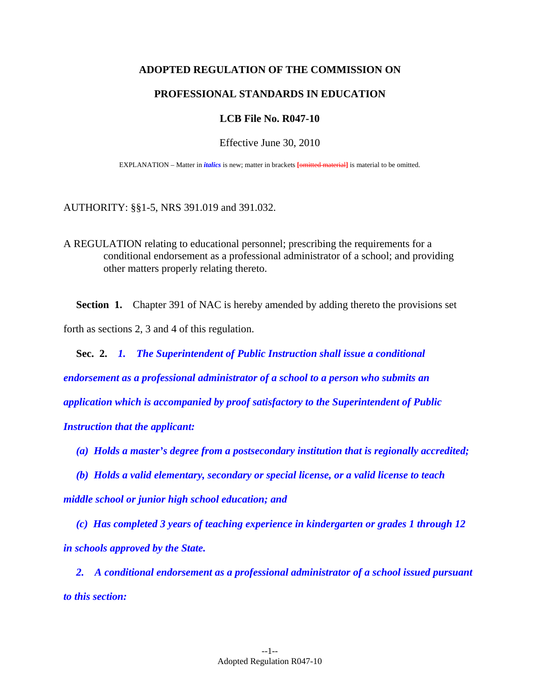## **ADOPTED REGULATION OF THE COMMISSION ON**

#### **PROFESSIONAL STANDARDS IN EDUCATION**

#### **LCB File No. R047-10**

Effective June 30, 2010

EXPLANATION – Matter in *italics* is new; matter in brackets **[**omitted material**]** is material to be omitted.

AUTHORITY: §§1-5, NRS 391.019 and 391.032.

A REGULATION relating to educational personnel; prescribing the requirements for a conditional endorsement as a professional administrator of a school; and providing other matters properly relating thereto.

**Section 1.** Chapter 391 of NAC is hereby amended by adding thereto the provisions set forth as sections 2, 3 and 4 of this regulation.

 **Sec. 2.** *1. The Superintendent of Public Instruction shall issue a conditional endorsement as a professional administrator of a school to a person who submits an application which is accompanied by proof satisfactory to the Superintendent of Public Instruction that the applicant:* 

 *(a) Holds a master's degree from a postsecondary institution that is regionally accredited;* 

 *(b) Holds a valid elementary, secondary or special license, or a valid license to teach middle school or junior high school education; and* 

 *(c) Has completed 3 years of teaching experience in kindergarten or grades 1 through 12 in schools approved by the State.* 

 *2. A conditional endorsement as a professional administrator of a school issued pursuant to this section:*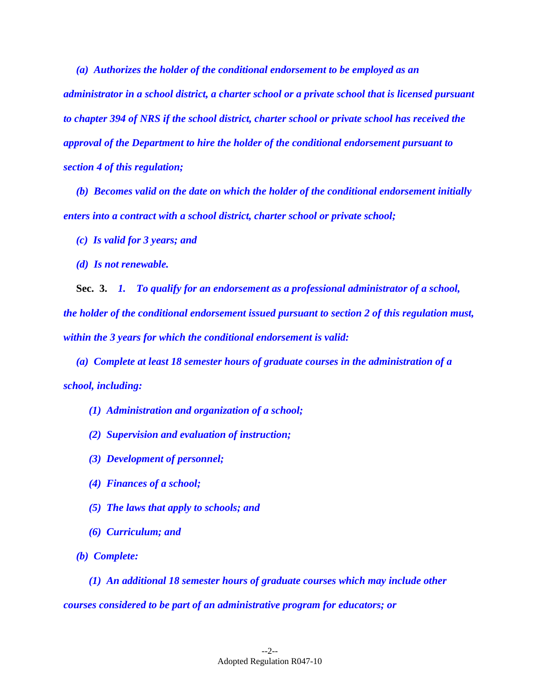*(a) Authorizes the holder of the conditional endorsement to be employed as an administrator in a school district, a charter school or a private school that is licensed pursuant to chapter 394 of NRS if the school district, charter school or private school has received the approval of the Department to hire the holder of the conditional endorsement pursuant to section 4 of this regulation;* 

 *(b) Becomes valid on the date on which the holder of the conditional endorsement initially enters into a contract with a school district, charter school or private school;* 

 *(c) Is valid for 3 years; and* 

 *(d) Is not renewable.* 

 **Sec. 3.** *1. To qualify for an endorsement as a professional administrator of a school, the holder of the conditional endorsement issued pursuant to section 2 of this regulation must, within the 3 years for which the conditional endorsement is valid:* 

 *(a) Complete at least 18 semester hours of graduate courses in the administration of a school, including:* 

 *(1) Administration and organization of a school;* 

- *(2) Supervision and evaluation of instruction;*
- *(3) Development of personnel;*
- *(4) Finances of a school;*
- *(5) The laws that apply to schools; and*
- *(6) Curriculum; and*
- *(b) Complete:*

 *(1) An additional 18 semester hours of graduate courses which may include other courses considered to be part of an administrative program for educators; or*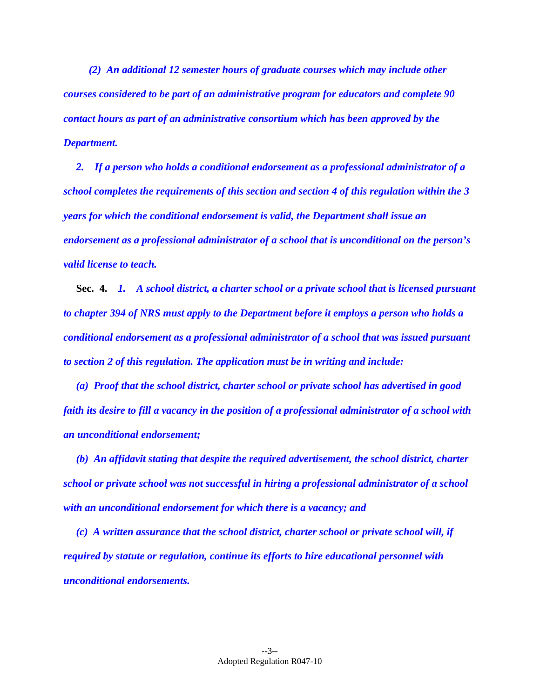*(2) An additional 12 semester hours of graduate courses which may include other courses considered to be part of an administrative program for educators and complete 90 contact hours as part of an administrative consortium which has been approved by the Department.* 

 *2. If a person who holds a conditional endorsement as a professional administrator of a school completes the requirements of this section and section 4 of this regulation within the 3 years for which the conditional endorsement is valid, the Department shall issue an endorsement as a professional administrator of a school that is unconditional on the person's valid license to teach.* 

 **Sec. 4.** *1. A school district, a charter school or a private school that is licensed pursuant to chapter 394 of NRS must apply to the Department before it employs a person who holds a conditional endorsement as a professional administrator of a school that was issued pursuant to section 2 of this regulation. The application must be in writing and include:* 

 *(a) Proof that the school district, charter school or private school has advertised in good faith its desire to fill a vacancy in the position of a professional administrator of a school with an unconditional endorsement;* 

 *(b) An affidavit stating that despite the required advertisement, the school district, charter school or private school was not successful in hiring a professional administrator of a school with an unconditional endorsement for which there is a vacancy; and* 

 *(c) A written assurance that the school district, charter school or private school will, if required by statute or regulation, continue its efforts to hire educational personnel with unconditional endorsements.*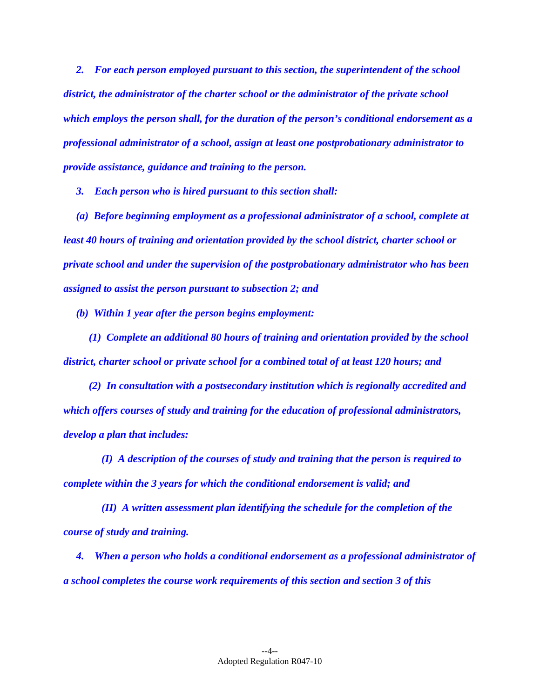*2. For each person employed pursuant to this section, the superintendent of the school district, the administrator of the charter school or the administrator of the private school which employs the person shall, for the duration of the person's conditional endorsement as a professional administrator of a school, assign at least one postprobationary administrator to provide assistance, guidance and training to the person.* 

 *3. Each person who is hired pursuant to this section shall:* 

 *(a) Before beginning employment as a professional administrator of a school, complete at least 40 hours of training and orientation provided by the school district, charter school or private school and under the supervision of the postprobationary administrator who has been assigned to assist the person pursuant to subsection 2; and* 

 *(b) Within 1 year after the person begins employment:* 

 *(1) Complete an additional 80 hours of training and orientation provided by the school district, charter school or private school for a combined total of at least 120 hours; and* 

 *(2) In consultation with a postsecondary institution which is regionally accredited and which offers courses of study and training for the education of professional administrators, develop a plan that includes:* 

 *(I) A description of the courses of study and training that the person is required to complete within the 3 years for which the conditional endorsement is valid; and* 

 *(II) A written assessment plan identifying the schedule for the completion of the course of study and training.* 

 *4. When a person who holds a conditional endorsement as a professional administrator of a school completes the course work requirements of this section and section 3 of this*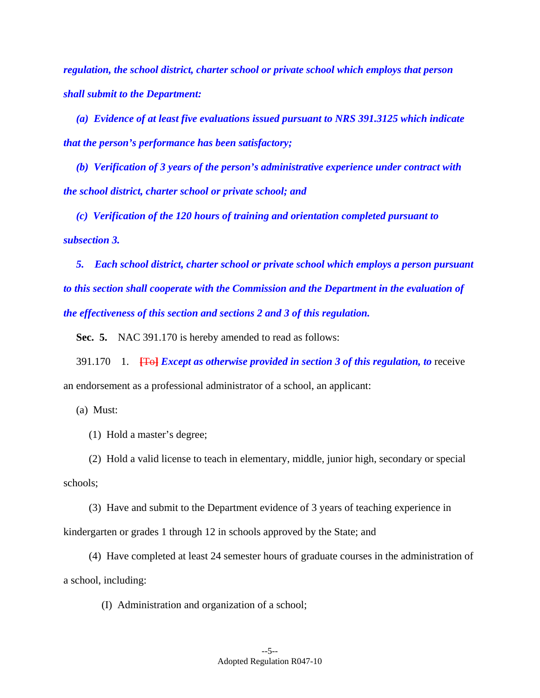*regulation, the school district, charter school or private school which employs that person shall submit to the Department:* 

 *(a) Evidence of at least five evaluations issued pursuant to NRS 391.3125 which indicate that the person's performance has been satisfactory;* 

 *(b) Verification of 3 years of the person's administrative experience under contract with the school district, charter school or private school; and* 

 *(c) Verification of the 120 hours of training and orientation completed pursuant to subsection 3.* 

 *5. Each school district, charter school or private school which employs a person pursuant to this section shall cooperate with the Commission and the Department in the evaluation of the effectiveness of this section and sections 2 and 3 of this regulation.* 

 **Sec. 5.** NAC 391.170 is hereby amended to read as follows:

 391.170 1. **[**To**]** *Except as otherwise provided in section 3 of this regulation, to* receive an endorsement as a professional administrator of a school, an applicant:

(a) Must:

(1) Hold a master's degree;

 (2) Hold a valid license to teach in elementary, middle, junior high, secondary or special schools;

 (3) Have and submit to the Department evidence of 3 years of teaching experience in kindergarten or grades 1 through 12 in schools approved by the State; and

 (4) Have completed at least 24 semester hours of graduate courses in the administration of a school, including:

(I) Administration and organization of a school;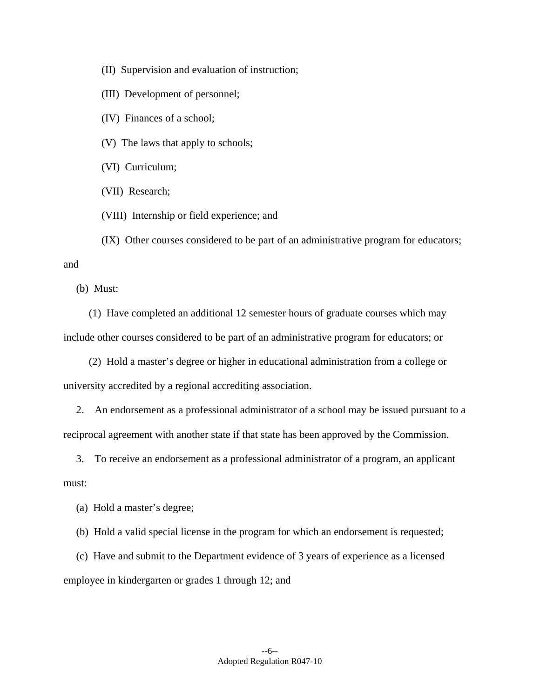(II) Supervision and evaluation of instruction;

(III) Development of personnel;

(IV) Finances of a school;

(V) The laws that apply to schools;

(VI) Curriculum;

(VII) Research;

(VIII) Internship or field experience; and

(IX) Other courses considered to be part of an administrative program for educators;

and

(b) Must:

 (1) Have completed an additional 12 semester hours of graduate courses which may include other courses considered to be part of an administrative program for educators; or

 (2) Hold a master's degree or higher in educational administration from a college or university accredited by a regional accrediting association.

 2. An endorsement as a professional administrator of a school may be issued pursuant to a reciprocal agreement with another state if that state has been approved by the Commission.

 3. To receive an endorsement as a professional administrator of a program, an applicant must:

(a) Hold a master's degree;

(b) Hold a valid special license in the program for which an endorsement is requested;

 (c) Have and submit to the Department evidence of 3 years of experience as a licensed employee in kindergarten or grades 1 through 12; and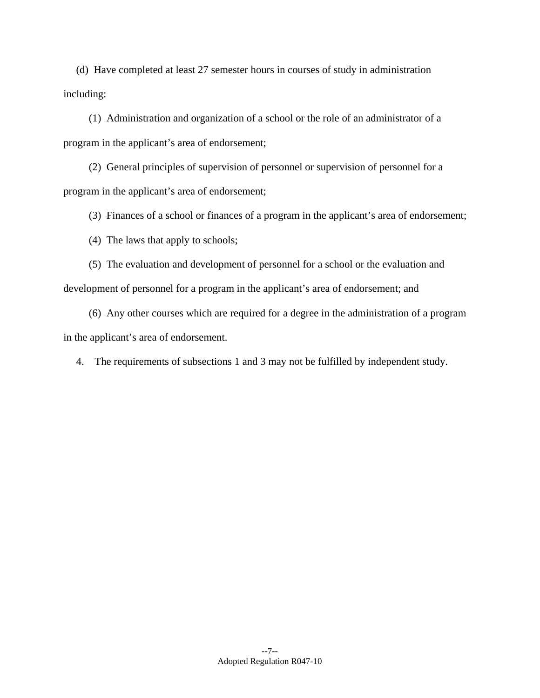(d) Have completed at least 27 semester hours in courses of study in administration including:

 (1) Administration and organization of a school or the role of an administrator of a program in the applicant's area of endorsement;

 (2) General principles of supervision of personnel or supervision of personnel for a program in the applicant's area of endorsement;

(3) Finances of a school or finances of a program in the applicant's area of endorsement;

(4) The laws that apply to schools;

 (5) The evaluation and development of personnel for a school or the evaluation and development of personnel for a program in the applicant's area of endorsement; and

 (6) Any other courses which are required for a degree in the administration of a program in the applicant's area of endorsement.

4. The requirements of subsections 1 and 3 may not be fulfilled by independent study.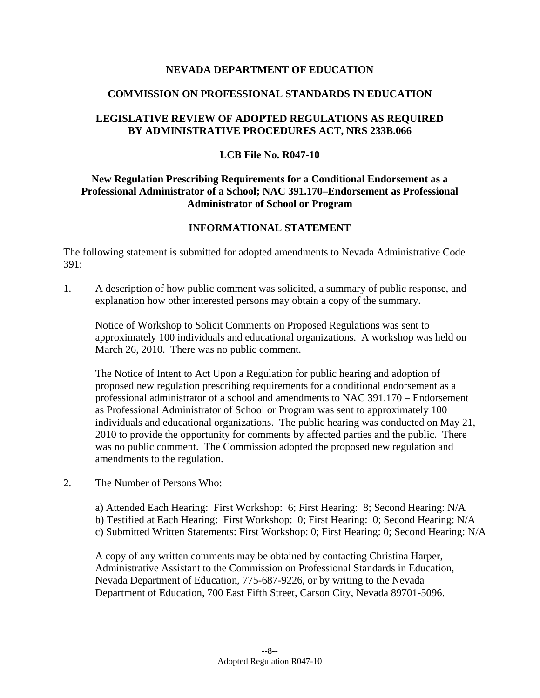## **NEVADA DEPARTMENT OF EDUCATION**

## **COMMISSION ON PROFESSIONAL STANDARDS IN EDUCATION**

# **LEGISLATIVE REVIEW OF ADOPTED REGULATIONS AS REQUIRED BY ADMINISTRATIVE PROCEDURES ACT, NRS 233B.066**

#### **LCB File No. R047-10**

# **New Regulation Prescribing Requirements for a Conditional Endorsement as a Professional Administrator of a School; NAC 391.170–Endorsement as Professional Administrator of School or Program**

## **INFORMATIONAL STATEMENT**

The following statement is submitted for adopted amendments to Nevada Administrative Code 391:

1. A description of how public comment was solicited, a summary of public response, and explanation how other interested persons may obtain a copy of the summary.

Notice of Workshop to Solicit Comments on Proposed Regulations was sent to approximately 100 individuals and educational organizations. A workshop was held on March 26, 2010. There was no public comment.

The Notice of Intent to Act Upon a Regulation for public hearing and adoption of proposed new regulation prescribing requirements for a conditional endorsement as a professional administrator of a school and amendments to NAC 391.170 – Endorsement as Professional Administrator of School or Program was sent to approximately 100 individuals and educational organizations. The public hearing was conducted on May 21, 2010 to provide the opportunity for comments by affected parties and the public. There was no public comment. The Commission adopted the proposed new regulation and amendments to the regulation.

2. The Number of Persons Who:

a) Attended Each Hearing: First Workshop: 6; First Hearing: 8; Second Hearing: N/A b) Testified at Each Hearing: First Workshop: 0; First Hearing: 0; Second Hearing: N/A c) Submitted Written Statements: First Workshop: 0; First Hearing: 0; Second Hearing: N/A

A copy of any written comments may be obtained by contacting Christina Harper, Administrative Assistant to the Commission on Professional Standards in Education, Nevada Department of Education, 775-687-9226, or by writing to the Nevada Department of Education, 700 East Fifth Street, Carson City, Nevada 89701-5096.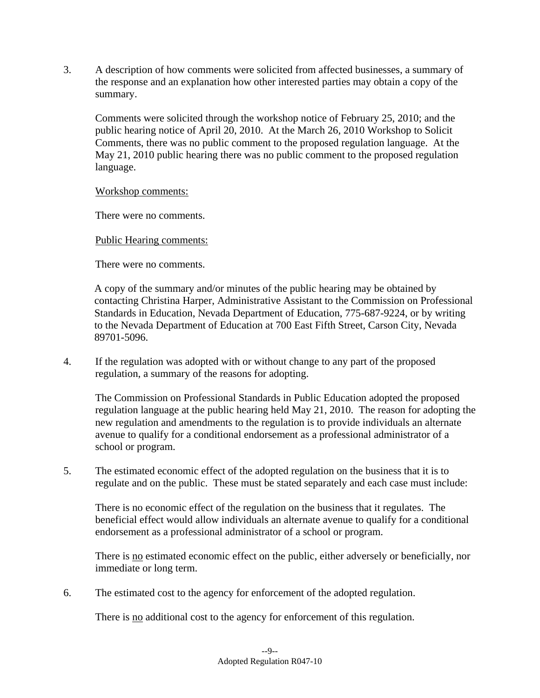3. A description of how comments were solicited from affected businesses, a summary of the response and an explanation how other interested parties may obtain a copy of the summary.

 Comments were solicited through the workshop notice of February 25, 2010; and the public hearing notice of April 20, 2010. At the March 26, 2010 Workshop to Solicit Comments, there was no public comment to the proposed regulation language. At the May 21, 2010 public hearing there was no public comment to the proposed regulation language.

Workshop comments:

There were no comments.

Public Hearing comments:

There were no comments.

A copy of the summary and/or minutes of the public hearing may be obtained by contacting Christina Harper, Administrative Assistant to the Commission on Professional Standards in Education, Nevada Department of Education, 775-687-9224, or by writing to the Nevada Department of Education at 700 East Fifth Street, Carson City, Nevada 89701-5096.

4. If the regulation was adopted with or without change to any part of the proposed regulation, a summary of the reasons for adopting.

 The Commission on Professional Standards in Public Education adopted the proposed regulation language at the public hearing held May 21, 2010. The reason for adopting the new regulation and amendments to the regulation is to provide individuals an alternate avenue to qualify for a conditional endorsement as a professional administrator of a school or program.

5. The estimated economic effect of the adopted regulation on the business that it is to regulate and on the public. These must be stated separately and each case must include:

 There is no economic effect of the regulation on the business that it regulates. The beneficial effect would allow individuals an alternate avenue to qualify for a conditional endorsement as a professional administrator of a school or program.

There is no estimated economic effect on the public, either adversely or beneficially, nor immediate or long term.

6. The estimated cost to the agency for enforcement of the adopted regulation.

There is no additional cost to the agency for enforcement of this regulation.